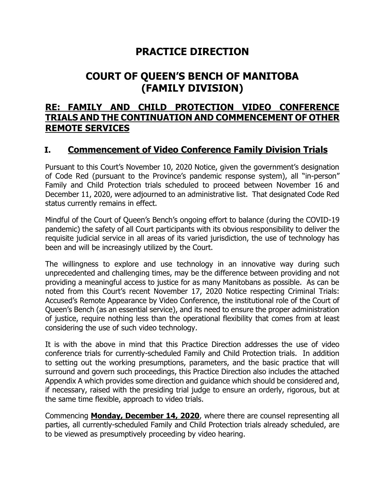## **PRACTICE DIRECTION**

# **COURT OF QUEEN'S BENCH OF MANITOBA (FAMILY DIVISION)**

### **RE: FAMILY AND CHILD PROTECTION VIDEO CONFERENCE TRIALS AND THE CONTINUATION AND COMMENCEMENT OF OTHER REMOTE SERVICES**

### **I. Commencement of Video Conference Family Division Trials**

Pursuant to this Court's November 10, 2020 Notice, given the government's designation of Code Red (pursuant to the Province's pandemic response system), all "in-person" Family and Child Protection trials scheduled to proceed between November 16 and December 11, 2020, were adjourned to an administrative list. That designated Code Red status currently remains in effect.

Mindful of the Court of Queen's Bench's ongoing effort to balance (during the COVID-19 pandemic) the safety of all Court participants with its obvious responsibility to deliver the requisite judicial service in all areas of its varied jurisdiction, the use of technology has been and will be increasingly utilized by the Court.

The willingness to explore and use technology in an innovative way during such unprecedented and challenging times, may be the difference between providing and not providing a meaningful access to justice for as many Manitobans as possible. As can be noted from this Court's recent November 17, 2020 Notice respecting Criminal Trials: Accused's Remote Appearance by Video Conference, the institutional role of the Court of Queen's Bench (as an essential service), and its need to ensure the proper administration of justice, require nothing less than the operational flexibility that comes from at least considering the use of such video technology.

It is with the above in mind that this Practice Direction addresses the use of video conference trials for currently-scheduled Family and Child Protection trials. In addition to setting out the working presumptions, parameters, and the basic practice that will surround and govern such proceedings, this Practice Direction also includes the attached Appendix A which provides some direction and guidance which should be considered and, if necessary, raised with the presiding trial judge to ensure an orderly, rigorous, but at the same time flexible, approach to video trials.

Commencing **Monday, December 14, 2020**, where there are counsel representing all parties, all currently-scheduled Family and Child Protection trials already scheduled, are to be viewed as presumptively proceeding by video hearing.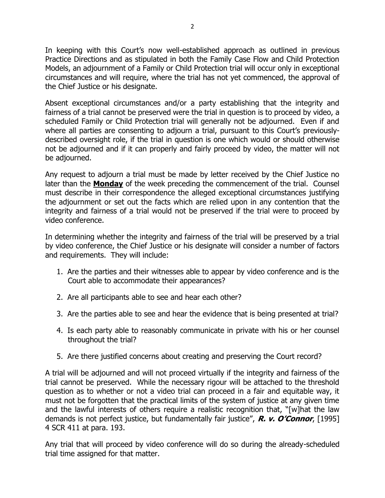In keeping with this Court's now well-established approach as outlined in previous Practice Directions and as stipulated in both the Family Case Flow and Child Protection Models, an adjournment of a Family or Child Protection trial will occur only in exceptional circumstances and will require, where the trial has not yet commenced, the approval of the Chief Justice or his designate.

Absent exceptional circumstances and/or a party establishing that the integrity and fairness of a trial cannot be preserved were the trial in question is to proceed by video, a scheduled Family or Child Protection trial will generally not be adjourned. Even if and where all parties are consenting to adjourn a trial, pursuant to this Court's previouslydescribed oversight role, if the trial in question is one which would or should otherwise not be adjourned and if it can properly and fairly proceed by video, the matter will not be adjourned.

Any request to adjourn a trial must be made by letter received by the Chief Justice no later than the **Monday** of the week preceding the commencement of the trial. Counsel must describe in their correspondence the alleged exceptional circumstances justifying the adjournment or set out the facts which are relied upon in any contention that the integrity and fairness of a trial would not be preserved if the trial were to proceed by video conference.

In determining whether the integrity and fairness of the trial will be preserved by a trial by video conference, the Chief Justice or his designate will consider a number of factors and requirements. They will include:

- 1. Are the parties and their witnesses able to appear by video conference and is the Court able to accommodate their appearances?
- 2. Are all participants able to see and hear each other?
- 3. Are the parties able to see and hear the evidence that is being presented at trial?
- 4. Is each party able to reasonably communicate in private with his or her counsel throughout the trial?
- 5. Are there justified concerns about creating and preserving the Court record?

A trial will be adjourned and will not proceed virtually if the integrity and fairness of the trial cannot be preserved. While the necessary rigour will be attached to the threshold question as to whether or not a video trial can proceed in a fair and equitable way, it must not be forgotten that the practical limits of the system of justice at any given time and the lawful interests of others require a realistic recognition that, "[w]hat the law demands is not perfect justice, but fundamentally fair justice", **R. v. O'Connor**, [1995] 4 SCR 411 at para. 193.

Any trial that will proceed by video conference will do so during the already-scheduled trial time assigned for that matter.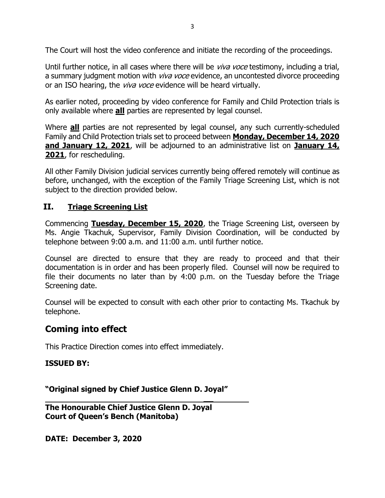The Court will host the video conference and initiate the recording of the proceedings.

Until further notice, in all cases where there will be *viva voce* testimony, including a trial, a summary judgment motion with *viva voce* evidence, an uncontested divorce proceeding or an ISO hearing, the *viva voce* evidence will be heard virtually.

As earlier noted, proceeding by video conference for Family and Child Protection trials is only available where **all** parties are represented by legal counsel.

Where **all** parties are not represented by legal counsel, any such currently-scheduled Family and Child Protection trials set to proceed between **Monday, December 14, 2020 and January 12, 2021**, will be adjourned to an administrative list on **January 14, 2021**, for rescheduling.

All other Family Division judicial services currently being offered remotely will continue as before, unchanged, with the exception of the Family Triage Screening List, which is not subject to the direction provided below.

#### **II. Triage Screening List**

Commencing **Tuesday, December 15, 2020**, the Triage Screening List, overseen by Ms. Angie Tkachuk, Supervisor, Family Division Coordination, will be conducted by telephone between 9:00 a.m. and 11:00 a.m. until further notice.

Counsel are directed to ensure that they are ready to proceed and that their documentation is in order and has been properly filed. Counsel will now be required to file their documents no later than by 4:00 p.m. on the Tuesday before the Triage Screening date.

Counsel will be expected to consult with each other prior to contacting Ms. Tkachuk by telephone.

**\_\_**

### **Coming into effect**

This Practice Direction comes into effect immediately.

#### **ISSUED BY:**

**"Original signed by Chief Justice Glenn D. Joyal"**

**The Honourable Chief Justice Glenn D. Joyal Court of Queen's Bench (Manitoba)**

**DATE: December 3, 2020**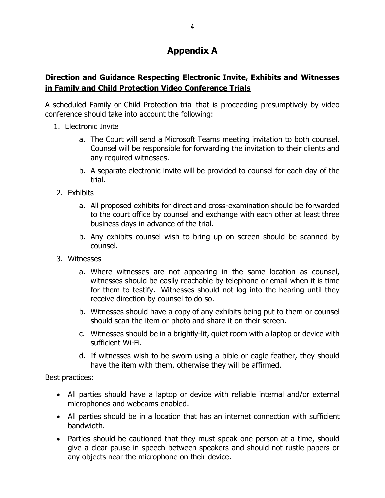## **Appendix A**

#### **Direction and Guidance Respecting Electronic Invite, Exhibits and Witnesses in Family and Child Protection Video Conference Trials**

A scheduled Family or Child Protection trial that is proceeding presumptively by video conference should take into account the following:

- 1. Electronic Invite
	- a. The Court will send a Microsoft Teams meeting invitation to both counsel. Counsel will be responsible for forwarding the invitation to their clients and any required witnesses.
	- b. A separate electronic invite will be provided to counsel for each day of the trial.
- 2. Exhibits
	- a. All proposed exhibits for direct and cross-examination should be forwarded to the court office by counsel and exchange with each other at least three business days in advance of the trial.
	- b. Any exhibits counsel wish to bring up on screen should be scanned by counsel.
- 3. Witnesses
	- a. Where witnesses are not appearing in the same location as counsel, witnesses should be easily reachable by telephone or email when it is time for them to testify. Witnesses should not log into the hearing until they receive direction by counsel to do so.
	- b. Witnesses should have a copy of any exhibits being put to them or counsel should scan the item or photo and share it on their screen.
	- c. Witnesses should be in a brightly-lit, quiet room with a laptop or device with sufficient Wi-Fi.
	- d. If witnesses wish to be sworn using a bible or eagle feather, they should have the item with them, otherwise they will be affirmed.

Best practices:

- All parties should have a laptop or device with reliable internal and/or external microphones and webcams enabled.
- All parties should be in a location that has an internet connection with sufficient bandwidth.
- Parties should be cautioned that they must speak one person at a time, should give a clear pause in speech between speakers and should not rustle papers or any objects near the microphone on their device.